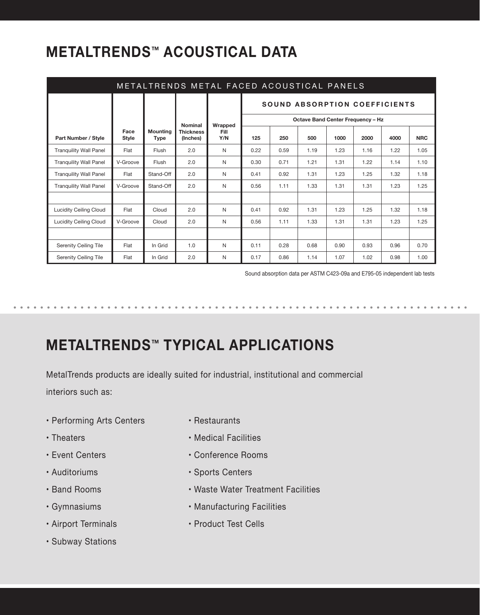## **METALTRENDS™ ACOUSTICAL DATA**

| METALTRENDS METAL FACED ACOUSTICAL PANELS |                      |                                |                              |             |                                      |      |                                          |      |      |      |            |
|-------------------------------------------|----------------------|--------------------------------|------------------------------|-------------|--------------------------------------|------|------------------------------------------|------|------|------|------------|
|                                           |                      |                                |                              |             | <b>SOUND ABSORPTION COEFFICIENTS</b> |      |                                          |      |      |      |            |
|                                           |                      |                                | <b>Nominal</b>               | Wrapped     |                                      |      | <b>Octave Band Center Frequency - Hz</b> |      |      |      |            |
| <b>Part Number / Style</b>                | Face<br><b>Style</b> | <b>Mounting</b><br><b>Type</b> | <b>Thickness</b><br>(Inches) | Fill<br>Y/N | 125                                  | 250  | 500                                      | 1000 | 2000 | 4000 | <b>NRC</b> |
| <b>Tranquility Wall Panel</b>             | Flat                 | Flush                          | 2.0                          | N           | 0.22                                 | 0.59 | 1.19                                     | 1.23 | 1.16 | 1.22 | 1.05       |
| <b>Tranquility Wall Panel</b>             | V-Groove             | Flush                          | 2.0                          | N           | 0.30                                 | 0.71 | 1.21                                     | 1.31 | 1.22 | 1.14 | 1.10       |
| <b>Tranquility Wall Panel</b>             | Flat                 | Stand-Off                      | 2.0                          | N           | 0.41                                 | 0.92 | 1.31                                     | 1.23 | 1.25 | 1.32 | 1.18       |
| <b>Tranquility Wall Panel</b>             | V-Groove             | Stand-Off                      | 2.0                          | N           | 0.56                                 | 1.11 | 1.33                                     | 1.31 | 1.31 | 1.23 | 1.25       |
|                                           |                      |                                |                              |             |                                      |      |                                          |      |      |      |            |
| <b>Lucidity Ceiling Cloud</b>             | Flat                 | Cloud                          | 2.0                          | N           | 0.41                                 | 0.92 | 1.31                                     | 1.23 | 1.25 | 1.32 | 1.18       |
| <b>Lucidity Ceiling Cloud</b>             | V-Groove             | Cloud                          | 2.0                          | N           | 0.56                                 | 1.11 | 1.33                                     | 1.31 | 1.31 | 1.23 | 1.25       |
|                                           |                      |                                |                              |             |                                      |      |                                          |      |      |      |            |
| <b>Serenity Ceiling Tile</b>              | Flat                 | In Grid                        | 1.0                          | N           | 0.11                                 | 0.28 | 0.68                                     | 0.90 | 0.93 | 0.96 | 0.70       |
| <b>Serenity Ceiling Tile</b>              | Flat                 | In Grid                        | 2.0                          | N           | 0.17                                 | 0.86 | 1.14                                     | 1.07 | 1.02 | 0.98 | 1.00       |

Sound absorption data per ASTM C423-09a and E795-05 independent lab tests

## **METALTRENDS™ TYPICAL APPLICATIONS**

MetalTrends products are ideally suited for industrial, institutional and commercial interiors such as:

- Performing Arts Centers
- Theaters
- Event Centers
- Auditoriums
- Band Rooms
- Gymnasiums
- Airport Terminals
- Subway Stations
- Restaurants
- Medical Facilities
- Conference Rooms
- Sports Centers
- Waste Water Treatment Facilities
- Manufacturing Facilities
- Product Test Cells